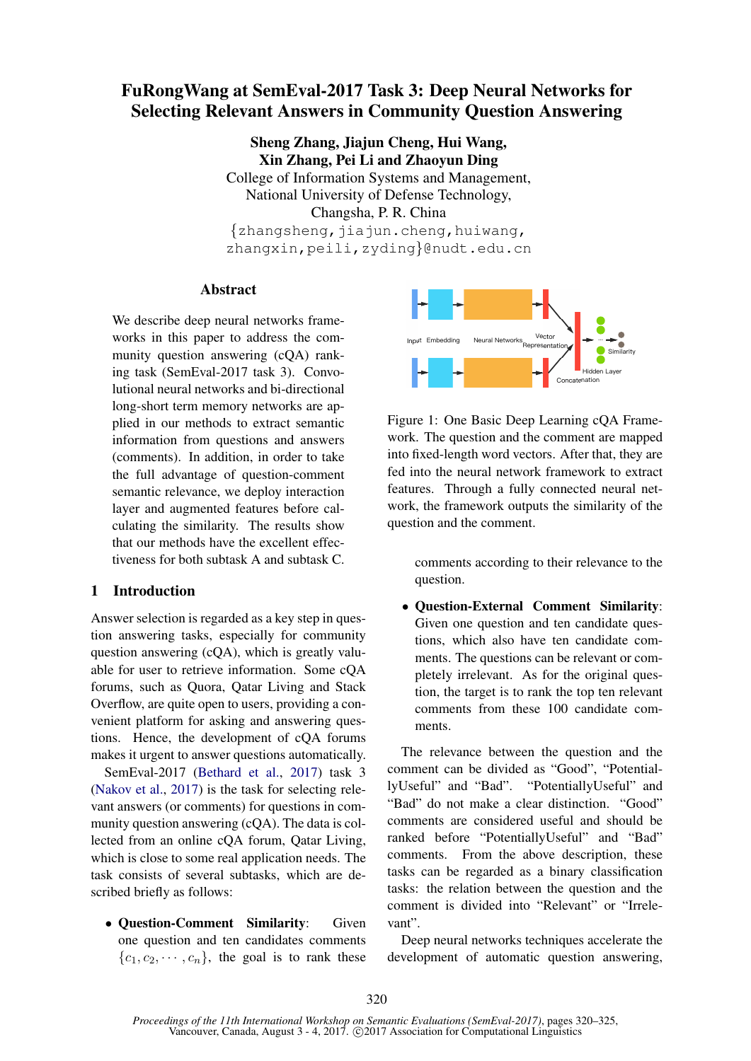# FuRongWang at SemEval-2017 Task 3: Deep Neural Networks for Selecting Relevant Answers in Community Question Answering

Sheng Zhang, Jiajun Cheng, Hui Wang, Xin Zhang, Pei Li and Zhaoyun Ding College of Information Systems and Management, National University of Defense Technology, Changsha, P. R. China  $\{zhangsheng, jiajun. Cheng, huiwang,$ zhangxin,peili,zyding}@nudt.edu.cn

# Abstract

We describe deep neural networks frameworks in this paper to address the community question answering (cQA) ranking task (SemEval-2017 task 3). Convolutional neural networks and bi-directional long-short term memory networks are applied in our methods to extract semantic information from questions and answers (comments). In addition, in order to take the full advantage of question-comment semantic relevance, we deploy interaction layer and augmented features before calculating the similarity. The results show that our methods have the excellent effectiveness for both subtask A and subtask C.

# 1 Introduction

Answer selection is regarded as a key step in question answering tasks, especially for community question answering (cQA), which is greatly valuable for user to retrieve information. Some cQA forums, such as Quora, Qatar Living and Stack Overflow, are quite open to users, providing a convenient platform for asking and answering questions. Hence, the development of cQA forums makes it urgent to answer questions automatically.

SemEval-2017 (Bethard et al., 2017) task 3 (Nakov et al., 2017) is the task for selecting relevant answers (or comments) for questions in community question answering (cQA). The data is collected from an online cQA forum, Qatar Living, which is close to some real application needs. The task consists of several subtasks, which are described briefly as follows:

• Question-Comment Similarity: Given one question and ten candidates comments  ${c_1, c_2, \cdots, c_n}$ , the goal is to rank these



Figure 1: One Basic Deep Learning cQA Framework. The question and the comment are mapped into fixed-length word vectors. After that, they are fed into the neural network framework to extract features. Through a fully connected neural network, the framework outputs the similarity of the question and the comment.

> comments according to their relevance to the question.

• Question-External Comment Similarity: Given one question and ten candidate questions, which also have ten candidate comments. The questions can be relevant or completely irrelevant. As for the original question, the target is to rank the top ten relevant comments from these 100 candidate comments.

The relevance between the question and the comment can be divided as "Good", "PotentiallyUseful" and "Bad". "PotentiallyUseful" and "Bad" do not make a clear distinction. "Good" comments are considered useful and should be ranked before "PotentiallyUseful" and "Bad" comments. From the above description, these tasks can be regarded as a binary classification tasks: the relation between the question and the comment is divided into "Relevant" or "Irrelevant".

Deep neural networks techniques accelerate the development of automatic question answering,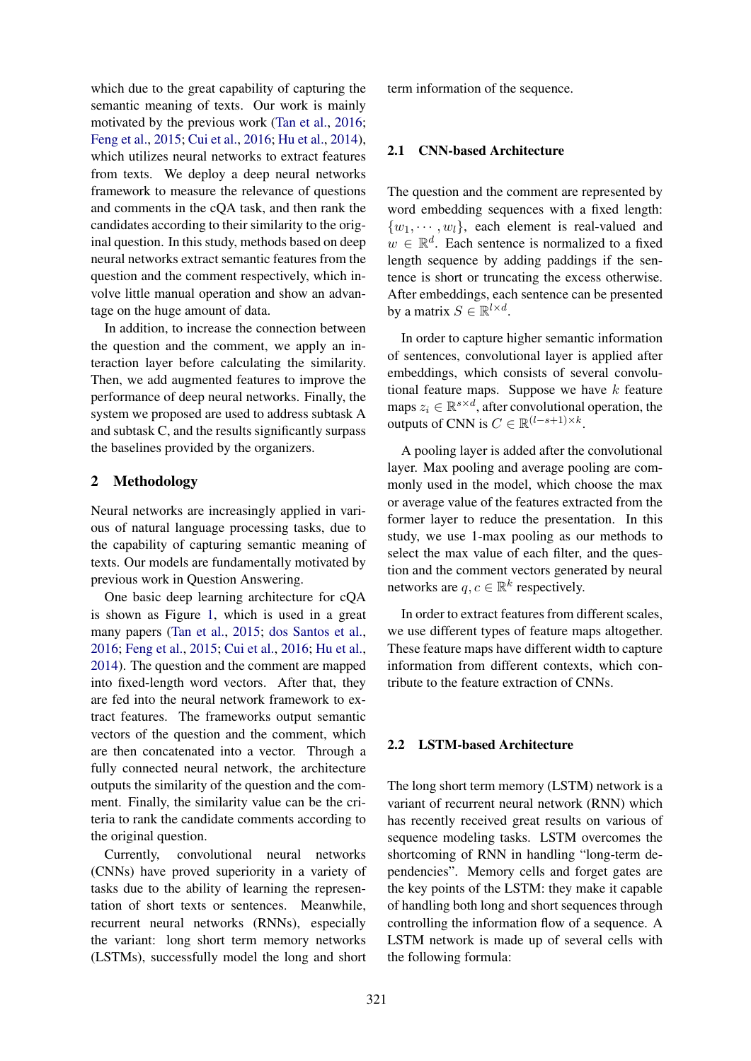which due to the great capability of capturing the semantic meaning of texts. Our work is mainly motivated by the previous work (Tan et al., 2016; Feng et al., 2015; Cui et al., 2016; Hu et al., 2014), which utilizes neural networks to extract features from texts. We deploy a deep neural networks framework to measure the relevance of questions and comments in the cQA task, and then rank the candidates according to their similarity to the original question. In this study, methods based on deep neural networks extract semantic features from the question and the comment respectively, which involve little manual operation and show an advantage on the huge amount of data.

In addition, to increase the connection between the question and the comment, we apply an interaction layer before calculating the similarity. Then, we add augmented features to improve the performance of deep neural networks. Finally, the system we proposed are used to address subtask A and subtask C, and the results significantly surpass the baselines provided by the organizers.

# 2 Methodology

Neural networks are increasingly applied in various of natural language processing tasks, due to the capability of capturing semantic meaning of texts. Our models are fundamentally motivated by previous work in Question Answering.

One basic deep learning architecture for cQA is shown as Figure 1, which is used in a great many papers (Tan et al., 2015; dos Santos et al., 2016; Feng et al., 2015; Cui et al., 2016; Hu et al., 2014). The question and the comment are mapped into fixed-length word vectors. After that, they are fed into the neural network framework to extract features. The frameworks output semantic vectors of the question and the comment, which are then concatenated into a vector. Through a fully connected neural network, the architecture outputs the similarity of the question and the comment. Finally, the similarity value can be the criteria to rank the candidate comments according to the original question.

Currently, convolutional neural networks (CNNs) have proved superiority in a variety of tasks due to the ability of learning the representation of short texts or sentences. Meanwhile, recurrent neural networks (RNNs), especially the variant: long short term memory networks (LSTMs), successfully model the long and short term information of the sequence.

#### 2.1 CNN-based Architecture

The question and the comment are represented by word embedding sequences with a fixed length:  $\{w_1, \dots, w_l\}$ , each element is real-valued and  $w \in \mathbb{R}^d$ . Each sentence is normalized to a fixed length sequence by adding paddings if the sentence is short or truncating the excess otherwise. After embeddings, each sentence can be presented by a matrix  $S \in \mathbb{R}^{l \times d}$ .

In order to capture higher semantic information of sentences, convolutional layer is applied after embeddings, which consists of several convolutional feature maps. Suppose we have  $k$  feature maps  $z_i \in \mathbb{R}^{s \times d}$ , after convolutional operation, the outputs of CNN is  $C \in \mathbb{R}^{(l-s+1)\times k}$ .

A pooling layer is added after the convolutional layer. Max pooling and average pooling are commonly used in the model, which choose the max or average value of the features extracted from the former layer to reduce the presentation. In this study, we use 1-max pooling as our methods to select the max value of each filter, and the question and the comment vectors generated by neural networks are  $q, c \in \mathbb{R}^k$  respectively.

In order to extract features from different scales, we use different types of feature maps altogether. These feature maps have different width to capture information from different contexts, which contribute to the feature extraction of CNNs.

#### 2.2 LSTM-based Architecture

The long short term memory (LSTM) network is a variant of recurrent neural network (RNN) which has recently received great results on various of sequence modeling tasks. LSTM overcomes the shortcoming of RNN in handling "long-term dependencies". Memory cells and forget gates are the key points of the LSTM: they make it capable of handling both long and short sequences through controlling the information flow of a sequence. A LSTM network is made up of several cells with the following formula: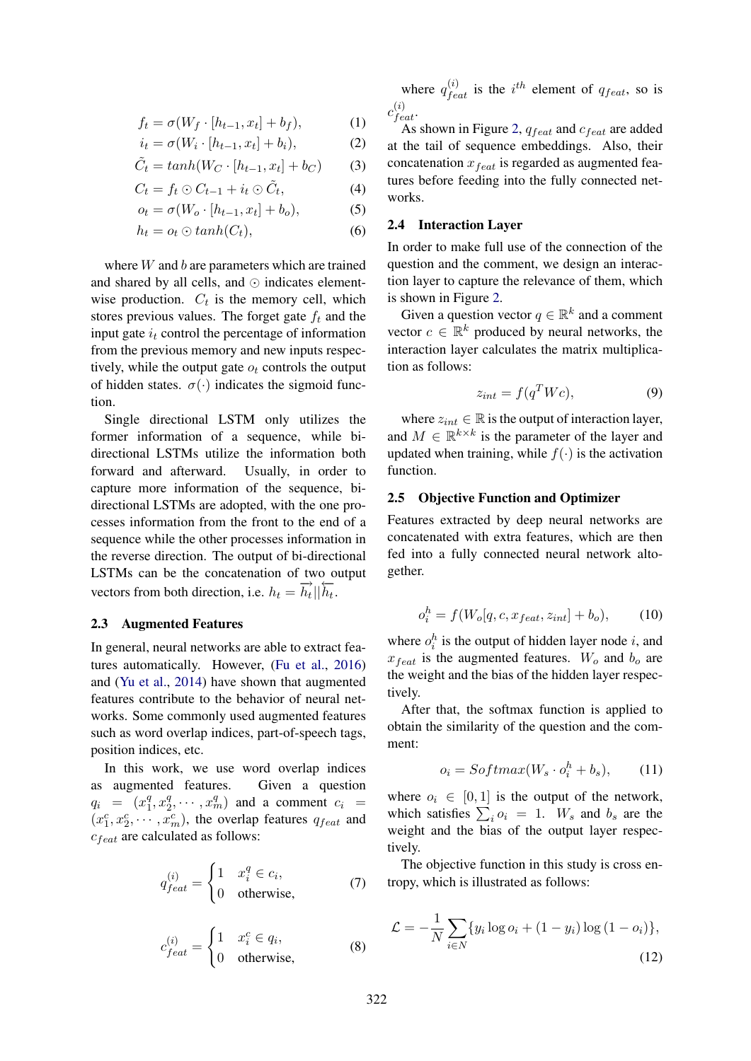$$
f_t = \sigma(W_f \cdot [h_{t-1}, x_t] + b_f), \tag{1}
$$

$$
i_t = \sigma(W_i \cdot [h_{t-1}, x_t] + b_i), \tag{2}
$$

$$
\tilde{C}_t = \tanh(W_C \cdot [h_{t-1}, x_t] + b_C) \tag{3}
$$

$$
C_t = f_t \odot C_{t-1} + i_t \odot \tilde{C}_t, \tag{4}
$$

$$
o_t = \sigma(W_o \cdot [h_{t-1}, x_t] + b_o), \tag{5}
$$

$$
h_t = o_t \odot \tanh(C_t), \tag{6}
$$

where W and b are parameters which are trained and shared by all cells, and ⊙ indicates elementwise production.  $C_t$  is the memory cell, which stores previous values. The forget gate  $f_t$  and the input gate  $i_t$  control the percentage of information from the previous memory and new inputs respectively, while the output gate  $o_t$  controls the output of hidden states.  $\sigma(\cdot)$  indicates the sigmoid function.

Single directional LSTM only utilizes the former information of a sequence, while bidirectional LSTMs utilize the information both forward and afterward. Usually, in order to capture more information of the sequence, bidirectional LSTMs are adopted, with the one processes information from the front to the end of a sequence while the other processes information in the reverse direction. The output of bi-directional LSTMs can be the concatenation of two output vectors from both direction, i.e.  $h_t = \overrightarrow{h_t} || \overleftarrow{h_t}$ .

#### 2.3 Augmented Features

In general, neural networks are able to extract features automatically. However, (Fu et al., 2016) and (Yu et al., 2014) have shown that augmented features contribute to the behavior of neural networks. Some commonly used augmented features such as word overlap indices, part-of-speech tags, position indices, etc.

In this work, we use word overlap indices as augmented features. Given a question  $q_i = (x_1^q)$  $^{q}_{1}, x_{2}^{q}$  $\left( \frac{q}{2}, \cdots, x_m^q \right)$  and a comment  $c_i =$  $(x_1^c, x_2^c, \dots, x_m^c)$ , the overlap features  $q_{feat}$  and  $c_{feat}$  are calculated as follows:

$$
q_{feat}^{(i)} = \begin{cases} 1 & x_i^q \in c_i, \\ 0 & \text{otherwise,} \end{cases}
$$
 (7)

$$
c_{feat}^{(i)} = \begin{cases} 1 & x_i^c \in q_i, \\ 0 & \text{otherwise,} \end{cases}
$$
 (8)

where  $q_{feat}^{(i)}$  is the  $i^{th}$  element of  $q_{feat}$ , so is  $c_{feat}^{(i)}$ .

As shown in Figure 2,  $q_{feat}$  and  $c_{feat}$  are added at the tail of sequence embeddings. Also, their concatenation  $x_{feat}$  is regarded as augmented features before feeding into the fully connected networks.

#### 2.4 Interaction Layer

In order to make full use of the connection of the question and the comment, we design an interaction layer to capture the relevance of them, which is shown in Figure 2.

Given a question vector  $q \in \mathbb{R}^k$  and a comment vector  $c \in \mathbb{R}^k$  produced by neural networks, the interaction layer calculates the matrix multiplication as follows:

$$
z_{int} = f(q^T W c), \tag{9}
$$

where  $z_{int} \in \mathbb{R}$  is the output of interaction layer, and  $M \in \mathbb{R}^{k \times k}$  is the parameter of the layer and updated when training, while  $f(\cdot)$  is the activation function.

#### 2.5 Objective Function and Optimizer

Features extracted by deep neural networks are concatenated with extra features, which are then fed into a fully connected neural network altogether.

$$
o_i^h = f(W_o[q, c, x_{feat}, z_{int}] + b_o), \qquad (10)
$$

where  $o_i^h$  is the output of hidden layer node i, and  $x_{feat}$  is the augmented features.  $W_o$  and  $b_o$  are the weight and the bias of the hidden layer respectively.

After that, the softmax function is applied to obtain the similarity of the question and the comment:

$$
o_i = Softmax(W_s \cdot o_i^h + b_s), \qquad (11)
$$

where  $o_i \in [0, 1]$  is the output of the network, which satisfies  $\sum_i o_i = 1$ . W<sub>s</sub> and b<sub>s</sub> are the weight and the bias of the output layer respectively.

The objective function in this study is cross entropy, which is illustrated as follows:

$$
\mathcal{L} = -\frac{1}{N} \sum_{i \in N} \{ y_i \log o_i + (1 - y_i) \log (1 - o_i) \},\tag{12}
$$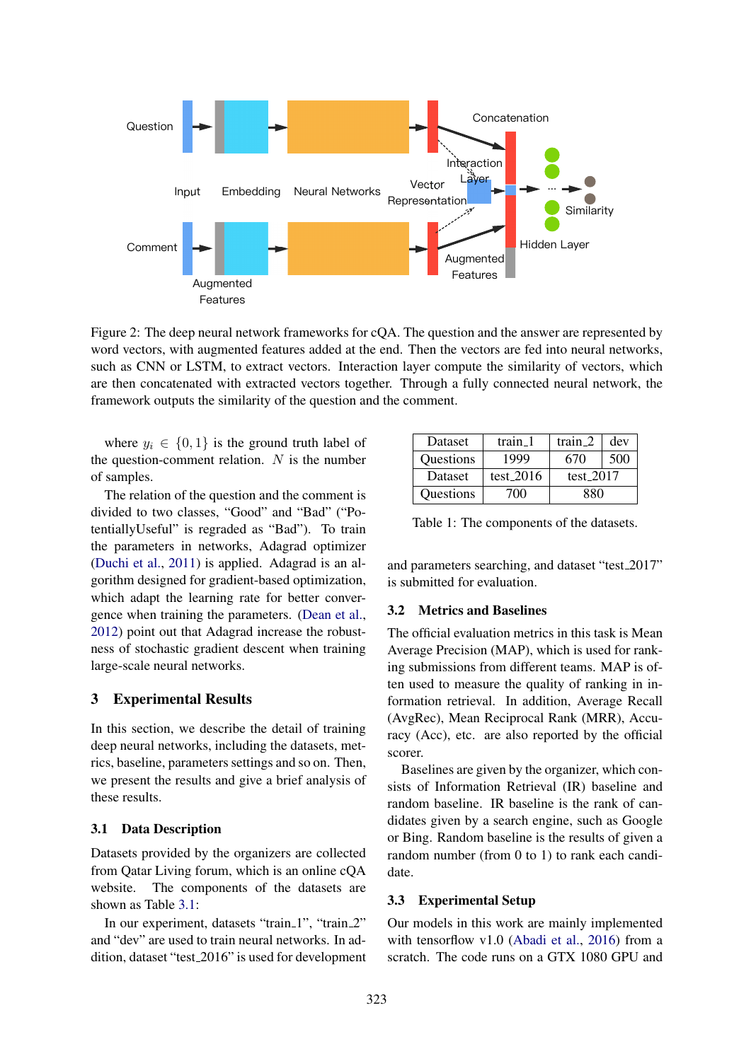

Figure 2: The deep neural network frameworks for cQA. The question and the answer are represented by word vectors, with augmented features added at the end. Then the vectors are fed into neural networks, such as CNN or LSTM, to extract vectors. Interaction layer compute the similarity of vectors, which are then concatenated with extracted vectors together. Through a fully connected neural network, the framework outputs the similarity of the question and the comment.

where  $y_i \in \{0, 1\}$  is the ground truth label of the question-comment relation.  $N$  is the number of samples.

The relation of the question and the comment is divided to two classes, "Good" and "Bad" ("PotentiallyUseful" is regraded as "Bad"). To train the parameters in networks, Adagrad optimizer (Duchi et al., 2011) is applied. Adagrad is an algorithm designed for gradient-based optimization, which adapt the learning rate for better convergence when training the parameters. (Dean et al., 2012) point out that Adagrad increase the robustness of stochastic gradient descent when training large-scale neural networks.

#### 3 Experimental Results

In this section, we describe the detail of training deep neural networks, including the datasets, metrics, baseline, parameters settings and so on. Then, we present the results and give a brief analysis of these results.

#### 3.1 Data Description

Datasets provided by the organizers are collected from Qatar Living forum, which is an online cQA website. The components of the datasets are shown as Table 3.1:

In our experiment, datasets "train\_1", "train\_2" and "dev" are used to train neural networks. In addition, dataset "test 2016" is used for development

| Dataset   | train 1     | train 2     | dev |  |
|-----------|-------------|-------------|-----|--|
| Questions | 1999        | 670         | 500 |  |
| Dataset   | test $2016$ | test $2017$ |     |  |
| Questions | 700         | 880         |     |  |

Table 1: The components of the datasets.

and parameters searching, and dataset "test\_2017" is submitted for evaluation.

#### 3.2 Metrics and Baselines

The official evaluation metrics in this task is Mean Average Precision (MAP), which is used for ranking submissions from different teams. MAP is often used to measure the quality of ranking in information retrieval. In addition, Average Recall (AvgRec), Mean Reciprocal Rank (MRR), Accuracy (Acc), etc. are also reported by the official scorer.

Baselines are given by the organizer, which consists of Information Retrieval (IR) baseline and random baseline. IR baseline is the rank of candidates given by a search engine, such as Google or Bing. Random baseline is the results of given a random number (from 0 to 1) to rank each candidate.

# 3.3 Experimental Setup

Our models in this work are mainly implemented with tensorflow v1.0 (Abadi et al., 2016) from a scratch. The code runs on a GTX 1080 GPU and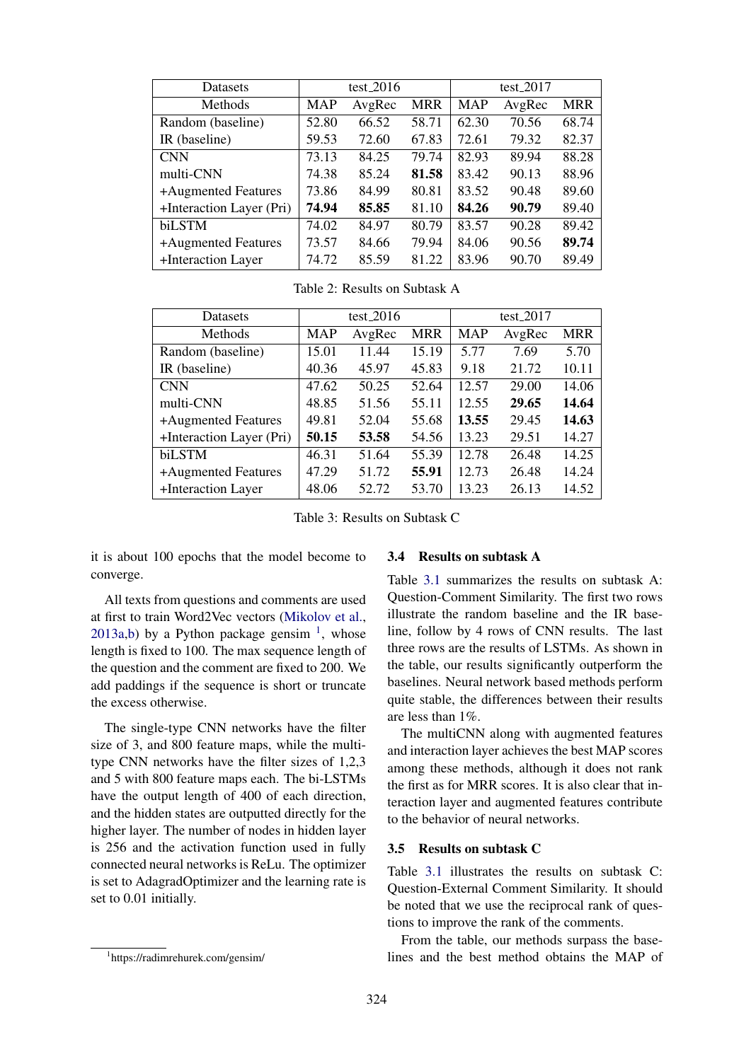| <b>Datasets</b>          | test <sub>-2016</sub> |        |            | test <sub>-2017</sub> |        |            |
|--------------------------|-----------------------|--------|------------|-----------------------|--------|------------|
| Methods                  | <b>MAP</b>            | AvgRec | <b>MRR</b> | MAP                   | AvgRec | <b>MRR</b> |
| Random (baseline)        | 52.80                 | 66.52  | 58.71      | 62.30                 | 70.56  | 68.74      |
| IR (baseline)            | 59.53                 | 72.60  | 67.83      | 72.61                 | 79.32  | 82.37      |
| <b>CNN</b>               | 73.13                 | 84.25  | 79.74      | 82.93                 | 89.94  | 88.28      |
| multi-CNN                | 74.38                 | 85.24  | 81.58      | 83.42                 | 90.13  | 88.96      |
| +Augmented Features      | 73.86                 | 84.99  | 80.81      | 83.52                 | 90.48  | 89.60      |
| +Interaction Layer (Pri) | 74.94                 | 85.85  | 81.10      | 84.26                 | 90.79  | 89.40      |
| biLSTM                   | 74.02                 | 84.97  | 80.79      | 83.57                 | 90.28  | 89.42      |
| +Augmented Features      | 73.57                 | 84.66  | 79.94      | 84.06                 | 90.56  | 89.74      |
| +Interaction Layer       | 74.72                 | 85.59  | 81.22      | 83.96                 | 90.70  | 89.49      |

Table 2: Results on Subtask A

| <b>Datasets</b>          | test <sub>-2016</sub> |        |            | $test_2017$ |        |            |
|--------------------------|-----------------------|--------|------------|-------------|--------|------------|
| Methods                  | <b>MAP</b>            | AvgRec | <b>MRR</b> | <b>MAP</b>  | AvgRec | <b>MRR</b> |
| Random (baseline)        | 15.01                 | 11.44  | 15.19      | 5.77        | 7.69   | 5.70       |
| IR (baseline)            | 40.36                 | 45.97  | 45.83      | 9.18        | 21.72  | 10.11      |
| <b>CNN</b>               | 47.62                 | 50.25  | 52.64      | 12.57       | 29.00  | 14.06      |
| multi-CNN                | 48.85                 | 51.56  | 55.11      | 12.55       | 29.65  | 14.64      |
| +Augmented Features      | 49.81                 | 52.04  | 55.68      | 13.55       | 29.45  | 14.63      |
| +Interaction Layer (Pri) | 50.15                 | 53.58  | 54.56      | 13.23       | 29.51  | 14.27      |
| biLSTM                   | 46.31                 | 51.64  | 55.39      | 12.78       | 26.48  | 14.25      |
| +Augmented Features      | 47.29                 | 51.72  | 55.91      | 12.73       | 26.48  | 14.24      |
| +Interaction Layer       | 48.06                 | 52.72  | 53.70      | 13.23       | 26.13  | 14.52      |

Table 3: Results on Subtask C

it is about 100 epochs that the model become to converge.

All texts from questions and comments are used at first to train Word2Vec vectors (Mikolov et al.,  $2013a,b$ ) by a Python package gensim  $<sup>1</sup>$ , whose</sup> length is fixed to 100. The max sequence length of the question and the comment are fixed to 200. We add paddings if the sequence is short or truncate the excess otherwise.

The single-type CNN networks have the filter size of 3, and 800 feature maps, while the multitype CNN networks have the filter sizes of 1,2,3 and 5 with 800 feature maps each. The bi-LSTMs have the output length of 400 of each direction, and the hidden states are outputted directly for the higher layer. The number of nodes in hidden layer is 256 and the activation function used in fully connected neural networks is ReLu. The optimizer is set to AdagradOptimizer and the learning rate is set to 0.01 initially.

#### 1 https://radimrehurek.com/gensim/

#### 3.4 Results on subtask A

Table 3.1 summarizes the results on subtask A: Question-Comment Similarity. The first two rows illustrate the random baseline and the IR baseline, follow by 4 rows of CNN results. The last three rows are the results of LSTMs. As shown in the table, our results significantly outperform the baselines. Neural network based methods perform quite stable, the differences between their results are less than 1%.

The multiCNN along with augmented features and interaction layer achieves the best MAP scores among these methods, although it does not rank the first as for MRR scores. It is also clear that interaction layer and augmented features contribute to the behavior of neural networks.

#### 3.5 Results on subtask C

Table 3.1 illustrates the results on subtask C: Question-External Comment Similarity. It should be noted that we use the reciprocal rank of questions to improve the rank of the comments.

From the table, our methods surpass the baselines and the best method obtains the MAP of